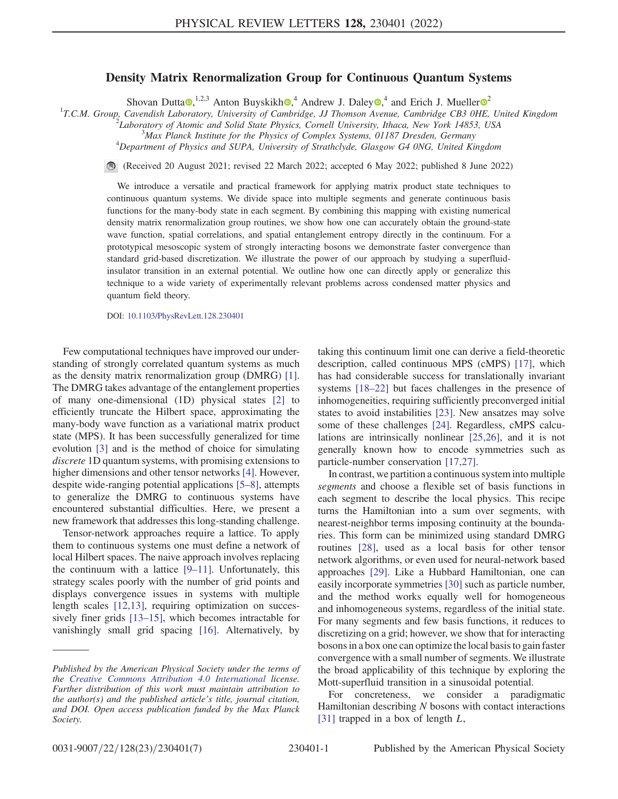## Density Matrix Renormalization Group for Continuous Quantum Systems

Shovan Dutta [,](https://orcid.org/0000-0001-9005-7761)<sup>1,[2](https://orcid.org/0000-0001-5186-5889),3</sup> Anton Buyskikh ,<sup>4</sup> Andrew J. Daley ,4 and Erich J. Mueller  $\sigma^2$ <br><sup>1</sup>T.C.M. Group, Cavendish Laboratory, University of Cambridge, JJ Thomson Avenue, Cambridge CB3 0HE, United Kingdom<br><sup>2</sup>Laboratory o

<sup>2</sup>Laboratory of Atomic and Solid State Physics, Cornell University, Ithaca, New York 14853, USA

 $^3$ Max Planck Institute for the Physics of Complex Systems, 01187 Dresden, Germany

 $^{4}$ Department of Physics and SUPA, University of Strathclyde, Glasgow G4 0NG, United Kingdom

(Received 20 August 2021; revised 22 March 2022; accepted 6 May 2022; published 8 June 2022)

We introduce a versatile and practical framework for applying matrix product state techniques to continuous quantum systems. We divide space into multiple segments and generate continuous basis functions for the many-body state in each segment. By combining this mapping with existing numerical density matrix renormalization group routines, we show how one can accurately obtain the ground-state wave function, spatial correlations, and spatial entanglement entropy directly in the continuum. For a prototypical mesoscopic system of strongly interacting bosons we demonstrate faster convergence than standard grid-based discretization. We illustrate the power of our approach by studying a superfluidinsulator transition in an external potential. We outline how one can directly apply or generalize this technique to a wide variety of experimentally relevant problems across condensed matter physics and quantum field theory.

DOI: [10.1103/PhysRevLett.128.230401](https://doi.org/10.1103/PhysRevLett.128.230401)

Few computational techniques have improved our understanding of strongly correlated quantum systems as much as the density matrix renormalization group (DMRG) [[1](#page-4-0)]. The DMRG takes advantage of the entanglement properties of many one-dimensional (1D) physical states [[2\]](#page-4-1) to efficiently truncate the Hilbert space, approximating the many-body wave function as a variational matrix product state (MPS). It has been successfully generalized for time evolution [\[3\]](#page-4-2) and is the method of choice for simulating discrete 1D quantum systems, with promising extensions to higher dimensions and other tensor networks [[4\]](#page-4-3). However, despite wide-ranging potential applications [\[5](#page-4-4)–[8](#page-4-5)], attempts to generalize the DMRG to continuous systems have encountered substantial difficulties. Here, we present a new framework that addresses this long-standing challenge.

Tensor-network approaches require a lattice. To apply them to continuous systems one must define a network of local Hilbert spaces. The naive approach involves replacing the continuum with a lattice [\[9](#page-4-6)–[11](#page-4-7)]. Unfortunately, this strategy scales poorly with the number of grid points and displays convergence issues in systems with multiple length scales [\[12,](#page-4-8)[13\]](#page-4-9), requiring optimization on successively finer grids [[13](#page-4-9)–[15\]](#page-4-10), which becomes intractable for vanishingly small grid spacing [[16](#page-5-0)]. Alternatively, by taking this continuum limit one can derive a field-theoretic description, called continuous MPS (cMPS) [[17](#page-5-1)], which has had considerable success for translationally invariant systems [[18](#page-5-2)–[22\]](#page-5-3) but faces challenges in the presence of inhomogeneities, requiring sufficiently preconverged initial states to avoid instabilities [[23](#page-5-4)]. New ansatzes may solve some of these challenges [[24](#page-5-5)]. Regardless, cMPS calculations are intrinsically nonlinear [\[25](#page-5-6)[,26\]](#page-5-7), and it is not generally known how to encode symmetries such as particle-number conservation [[17](#page-5-1),[27](#page-5-8)].

In contrast, we partition a continuous system into multiple segments and choose a flexible set of basis functions in each segment to describe the local physics. This recipe turns the Hamiltonian into a sum over segments, with nearest-neighbor terms imposing continuity at the boundaries. This form can be minimized using standard DMRG routines [\[28\]](#page-5-9), used as a local basis for other tensor network algorithms, or even used for neural-network based approaches [\[29\]](#page-5-10). Like a Hubbard Hamiltonian, one can easily incorporate symmetries [\[30\]](#page-5-11) such as particle number, and the method works equally well for homogeneous and inhomogeneous systems, regardless of the initial state. For many segments and few basis functions, it reduces to discretizing on a grid; however, we show that for interacting bosons in a box one can optimize the local basis to gain faster convergence with a small number of segments. We illustrate the broad applicability of this technique by exploring the Mott-superfluid transition in a sinusoidal potential.

<span id="page-0-0"></span>For concreteness, we consider a paradigmatic Hamiltonian describing  $N$  bosons with contact interactions [\[31\]](#page-5-12) trapped in a box of length  $L$ ,

Published by the American Physical Society under the terms of the [Creative Commons Attribution 4.0 International](https://creativecommons.org/licenses/by/4.0/) license. Further distribution of this work must maintain attribution to the author(s) and the published article's title, journal citation, and DOI. Open access publication funded by the Max Planck Society.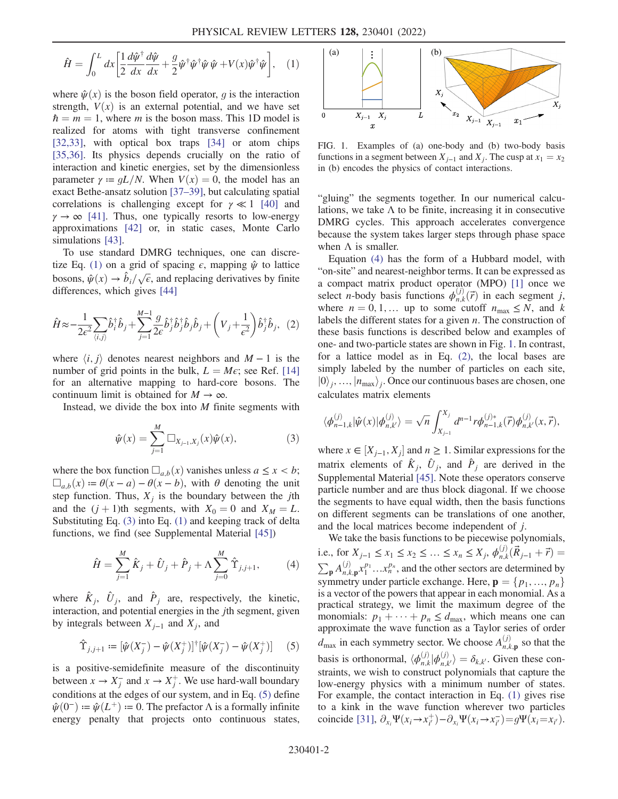$$
\hat{H} = \int_0^L dx \left[ \frac{1}{2} \frac{d\hat{\psi}^\dagger}{dx} \frac{d\hat{\psi}}{dx} + \frac{g}{2} \hat{\psi}^\dagger \hat{\psi}^\dagger \hat{\psi} \hat{\psi} + V(x) \hat{\psi}^\dagger \hat{\psi} \right], \quad (1)
$$

where  $\hat{\psi}(x)$  is the boson field operator, g is the interaction strength,  $V(x)$  is an external potential, and we have set  $\hbar = m = 1$ , where *m* is the boson mass. This 1D model is realized for atoms with tight transverse confinement [\[32](#page-5-13)[,33\]](#page-5-14), with optical box traps [[34](#page-5-15)] or atom chips [\[35](#page-5-16)[,36\]](#page-5-17). Its physics depends crucially on the ratio of interaction and kinetic energies, set by the dimensionless parameter  $\gamma := gL/N$ . When  $V(x) = 0$ , the model has an exact Bethe-ansatz solution [[37](#page-5-18)–[39\]](#page-5-19), but calculating spatial correlations is challenging except for  $\gamma \ll 1$  [[40](#page-5-20)] and  $\gamma \rightarrow \infty$  [[41](#page-5-21)]. Thus, one typically resorts to low-energy approximations [[42](#page-5-22)] or, in static cases, Monte Carlo simulations [[43](#page-5-23)].

To use standard DMRG techniques, one can discre-tize Eq. [\(1\)](#page-0-0) on a grid of spacing  $\epsilon$ , mapping  $\hat{\psi}$  to lattice bosons,  $\hat{\psi}(x) \rightarrow \hat{b}_i/\sqrt{\epsilon}$ , and replacing derivatives by finite differences, which gives [44] differences, which gives [[44](#page-5-24)]

<span id="page-1-4"></span>
$$
\hat{H} \approx -\frac{1}{2\epsilon^2} \sum_{\langle i,j \rangle} \hat{b}_i^{\dagger} \hat{b}_j + \sum_{j=1}^{M-1} \frac{g}{2\epsilon} \hat{b}_j^{\dagger} \hat{b}_j^{\dagger} \hat{b}_j \hat{b}_j + \left(V_j + \frac{1}{\epsilon^2}\right) \hat{b}_j^{\dagger} \hat{b}_j, \tag{2}
$$

where  $\langle i, j \rangle$  denotes nearest neighbors and M − 1 is the number of grid points in the bulk,  $L = M\epsilon$ ; see Ref. [\[14\]](#page-4-11) for an alternative mapping to hard-core bosons. The continuum limit is obtained for  $M \to \infty$ .

<span id="page-1-0"></span>Instead, we divide the box into  $M$  finite segments with

$$
\hat{\psi}(x) = \sum_{j=1}^{M} \Box_{X_{j-1}, X_j}(x) \hat{\psi}(x), \qquad (3)
$$

where the box function  $\Box_{a,b}(x)$  vanishes unless  $a \leq x < b$ ;  $\Box_{a,b}(x) \coloneqq \theta(x-a) - \theta(x-b)$ , with  $\theta$  denoting the unit step function. Thus,  $X_i$  is the boundary between the jth and the  $(j + 1)$ th segments, with  $X_0 = 0$  and  $X_M = L$ . Substituting Eq. [\(3\)](#page-1-0) into Eq. [\(1\)](#page-0-0) and keeping track of delta functions, we find (see Supplemental Material [\[45\]](#page-5-25))

<span id="page-1-2"></span>
$$
\hat{H} = \sum_{j=1}^{M} \hat{K}_j + \hat{U}_j + \hat{P}_j + \Lambda \sum_{j=0}^{M} \hat{\Upsilon}_{j,j+1},
$$
 (4)

<span id="page-1-1"></span>where  $\hat{K}_j$ ,  $\hat{U}_j$ , and  $\hat{P}_j$  are, respectively, the kinetic, interaction, and potential energies in the *j*th segment, given by integrals between  $X_{j-1}$  and  $X_j$ , and

$$
\hat{\Upsilon}_{j,j+1} := [\hat{\psi}(X_j^-) - \hat{\psi}(X_j^+)]^{\dagger} [\hat{\psi}(X_j^-) - \hat{\psi}(X_j^+)] \tag{5}
$$

is a positive-semidefinite measure of the discontinuity between  $x \to X_j^-$  and  $x \to X_j^+$ . We use hard-wall boundary conditions at the edges of our system, and in Eq. [\(5\)](#page-1-1) define  $\hat{\psi}(0^-) \coloneqq \hat{\psi}(L^+) \coloneqq 0$ . The prefactor  $\Lambda$  is a formally infinite energy penalty that projects onto continuous states,

<span id="page-1-3"></span>

FIG. 1. Examples of (a) one-body and (b) two-body basis functions in a segment between  $X_{i-1}$  and  $X_i$ . The cusp at  $x_1 = x_2$ in (b) encodes the physics of contact interactions.

"gluing" the segments together. In our numerical calculations, we take  $\Lambda$  to be finite, increasing it in consecutive DMRG cycles. This approach accelerates convergence because the system takes larger steps through phase space when  $\Lambda$  is smaller.

Equation [\(4\)](#page-1-2) has the form of a Hubbard model, with "on-site" and nearest-neighbor terms. It can be expressed as a compact matrix product operator (MPO) [\[1](#page-4-0)] once we select *n*-body basis functions  $\phi_{n,k}^{(j)}(\vec{r})$  in each segment *j*,<br>where  $n = 0, 1$  up to some cutoff  $n \leq N$  and k where  $n = 0, 1,...$  up to some cutoff  $n_{\text{max}} \leq N$ , and k labels the different states for a given  $n$ . The construction of these basis functions is described below and examples of one- and two-particle states are shown in Fig. [1.](#page-1-3) In contrast, for a lattice model as in Eq. [\(2\)](#page-1-4), the local bases are simply labeled by the number of particles on each site,  $|0\rangle$ <sub>j</sub>, ...,  $|n_{\text{max}}\rangle$ <sub>j</sub>. Once our continuous bases are chosen, one calculates matrix elements

$$
\langle \phi_{n-1,k}^{(j)} | \hat{\psi}(x) | \phi_{n,k'}^{(j)} \rangle = \sqrt{n} \int_{X_{j-1}}^{X_j} d^{n-1} r \phi_{n-1,k}^{(j)*}(\vec{r}) \phi_{n,k'}^{(j)}(x, \vec{r}),
$$

where  $x \in [X_{j-1}, X_j]$  and  $n \ge 1$ . Similar expressions for the matrix algorithm of  $\hat{\mathcal{E}}$  and  $\hat{\mathcal{E}}$  and  $\hat{\mathcal{E}}$  are derived in the matrix elements of  $\hat{K}_j$ ,  $\hat{U}_j$ , and  $\hat{P}_j$  are derived in the Supplemental Material [[45](#page-5-25)]. Note these operators conserve particle number and are thus block diagonal. If we choose the segments to have equal width, then the basis functions on different segments can be translations of one another, and the local matrices become independent of j.

We take the basis functions to be piecewise polynomials, i.e., for  $X_{j-1} \le x_1 \le x_2 \le \ldots \le x_n \le X_j$ ,  $\phi_{n,k}^{(j)}(\vec{R}_{j-1} + \vec{r}) =$  $\sum_{\mathbf{p}} A_{n,k,\mathbf{p}}^{(j)} x_1^{p_1} \dots x_n^{p_n}$ , and the other sectors are determined by symmetry under particle exchange. Here,  $\mathbf{p} = \{p_1, ..., p_n\}$ is a vector of the powers that appear in each monomial. As a practical strategy, we limit the maximum degree of the monomials:  $p_1 + \cdots + p_n \leq d_{\text{max}}$ , which means one can approximate the wave function as a Taylor series of order  $d_{\text{max}}$  in each symmetry sector. We choose  $A_{n,k,\mathbf{p}}^{(j)}$  so that the basis is orthonormal,  $\langle \phi_{n,k}^{(j)} | \phi_{n,k'}^{(j)} \rangle = \delta_{k,k'}$ . Given these con-<br>straints, we wish to construct polynomials that conture the straints, we wish to construct polynomials that capture the low-energy physics with a minimum number of states. For example, the contact interaction in Eq. [\(1\)](#page-0-0) gives rise to a kink in the wave function wherever two particles coincide [[31](#page-5-12)],  $\partial_{x_i} \Psi(x_i \to x_{i'}^+) - \partial_{x_i} \Psi(x_i \to x_{i'}^-) = g \Psi(x_i = x_{i'}).$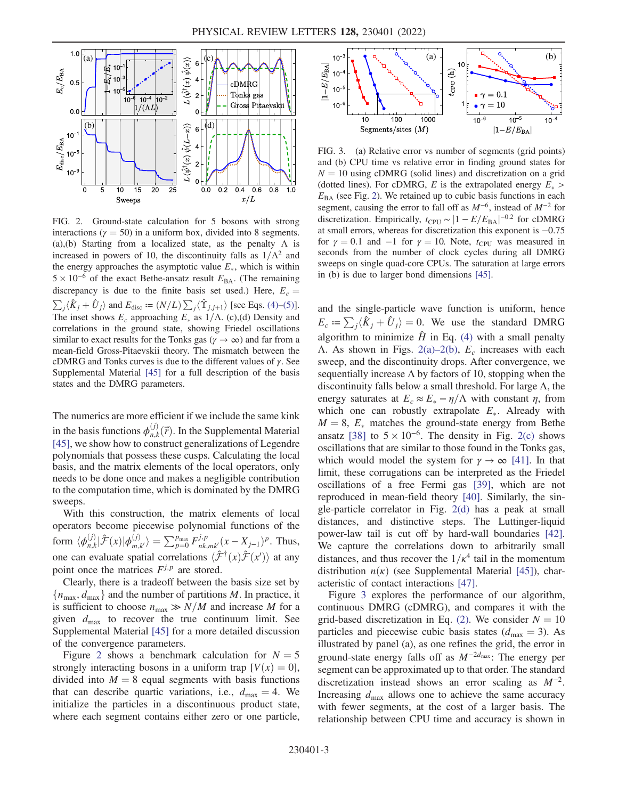<span id="page-2-0"></span>

FIG. 2. Ground-state calculation for 5 bosons with strong interactions ( $\gamma = 50$ ) in a uniform box, divided into 8 segments. (a),(b) Starting from a localized state, as the penalty  $\Lambda$  is increased in powers of 10, the discontinuity falls as  $1/\Lambda^2$  and the energy approaches the asymptotic value  $E_*$ , which is within  $5 \times 10^{-6}$  of the exact Bethe-ansatz result  $E_{BA}$ . (The remaining discrepancy is due to the finite basis set used.) Here,  $E_c = \sum_j \langle \hat{K}_j + \hat{U}_j \rangle$  and  $E_{\text{disc}} := (N/L) \sum_j \langle \hat{\Upsilon}_{j,j+1} \rangle$  [see Eqs. [\(4\)](#page-1-2)–[\(5\)\]](#page-1-1).<br>The inset shows E, approaching E as 1/A (a)(d) Dapsity and The inset shows  $E_c$  approaching  $E_*$  as  $1/\Lambda$ . (c),(d) Density and correlations in the ground state, showing Friedel oscillations similar to exact results for the Tonks gas ( $\gamma \to \infty$ ) and far from a mean-field Gross-Pitaevskii theory. The mismatch between the cDMRG and Tonks curves is due to the different values of  $\gamma$ . See Supplemental Material [\[45\]](#page-5-25) for a full description of the basis states and the DMRG parameters.

The numerics are more efficient if we include the same kink in the basis functions  $\phi_{n,k}^{(j)}(\vec{r})$ . In the Supplemental Material <br>[45] we show how to construct generalizations of Legendre [\[45\]](#page-5-25), we show how to construct generalizations of Legendre polynomials that possess these cusps. Calculating the local basis, and the matrix elements of the local operators, only needs to be done once and makes a negligible contribution to the computation time, which is dominated by the DMRG sweeps.

With this construction, the matrix elements of local operators become piecewise polynomial functions of the form  $\langle \phi_{n,k}^{(j)} | \hat{\mathcal{F}}(x) | \phi_{m,k'}^{(j)} \rangle = \sum_{p=0}^{p_{\text{max}}} F_{nk,mk'}^{j,p}(x - X_{j-1})^p$ . Thus, one can evaluate spatial correlations  $\langle \hat{\mathcal{F}}^{\dagger}(x) \hat{\mathcal{F}}(x') \rangle$  at any<br>point once the matrices  $F^{j,p}$  are stored point once the matrices  $F^{j,p}$  are stored.

Clearly, there is a tradeoff between the basis size set by  ${n_{\text{max}}}, d_{\text{max}}$  and the number of partitions M. In practice, it is sufficient to choose  $n_{\text{max}} \gg N/M$  and increase M for a given  $d_{\text{max}}$  to recover the true continuum limit. See Supplemental Material [[45](#page-5-25)] for a more detailed discussion of the convergence parameters.

Figure [2](#page-2-0) shows a benchmark calculation for  $N = 5$ strongly interacting bosons in a uniform trap  $[V(x) = 0]$ , divided into  $M = 8$  equal segments with basis functions that can describe quartic variations, i.e.,  $d_{\text{max}} = 4$ . We initialize the particles in a discontinuous product state, where each segment contains either zero or one particle,

<span id="page-2-1"></span>

FIG. 3. (a) Relative error vs number of segments (grid points) and (b) CPU time vs relative error in finding ground states for  $N = 10$  using cDMRG (solid lines) and discretization on a grid (dotted lines). For cDMRG, E is the extrapolated energy  $E_*$  >  $E_{BA}$  (see Fig. [2](#page-2-0)). We retained up to cubic basis functions in each segment, causing the error to fall off as  $M^{-6}$ , instead of  $M^{-2}$  for discretization. Empirically,  $t_{\text{CPU}} \sim |1 - E/E_{\text{BA}}|^{-0.2}$  for cDMRG at small errors, whereas for discretization this exponent is -0.75 at small errors, whereas for discretization this exponent is −0.75 for  $\gamma = 0.1$  and  $-1$  for  $\gamma = 10$ . Note,  $t_{\text{CPU}}$  was measured in seconds from the number of clock cycles during all DMRG sweeps on single quad-core CPUs. The saturation at large errors in (b) is due to larger bond dimensions [[45](#page-5-25)].

and the single-particle wave function is uniform, hence  $E_c \coloneqq \sum_i \langle \hat{K}_i + \hat{U}_i \rangle = 0$ . We use the standard DMRG algorithm to minimize  $\hat{H}$  in Eq. [\(4\)](#page-1-2) with a small penalty Λ. As shown in Figs. 2(a)–[2\(b\)](#page-2-0),  $E_c$  increases with each sweep, and the discontinuity drops. After convergence, we sequentially increase  $\Lambda$  by factors of 10, stopping when the discontinuity falls below a small threshold. For large  $\Lambda$ , the energy saturates at  $E_c \approx E_* - \eta/\Lambda$  with constant  $\eta$ , from which one can robustly extrapolate  $E_*$ . Already with  $M = 8$ ,  $E_*$  matches the ground-state energy from Bethe ansatz [[38](#page-5-26)] to  $5 \times 10^{-6}$ . The density in Fig. [2\(c\)](#page-2-0) shows oscillations that are similar to those found in the Tonks gas, which would model the system for  $\gamma \to \infty$  [\[41\]](#page-5-21). In that limit, these corrugations can be interpreted as the Friedel oscillations of a free Fermi gas [[39](#page-5-19)], which are not reproduced in mean-field theory [[40](#page-5-20)]. Similarly, the single-particle correlator in Fig. [2\(d\)](#page-2-0) has a peak at small distances, and distinctive steps. The Luttinger-liquid power-law tail is cut off by hard-wall boundaries [[42](#page-5-22)]. We capture the correlations down to arbitrarily small distances, and thus recover the  $1/\kappa^4$  tail in the momentum distribution  $n(\kappa)$  (see Supplemental Material [[45](#page-5-25)]), characteristic of contact interactions [[47](#page-5-27)].

Figure [3](#page-2-1) explores the performance of our algorithm, continuous DMRG (cDMRG), and compares it with the grid-based discretization in Eq. [\(2\)](#page-1-4). We consider  $N = 10$ particles and piecewise cubic basis states ( $d_{\text{max}} = 3$ ). As illustrated by panel (a), as one refines the grid, the error in ground-state energy falls off as  $M^{-2d_{\text{max}}}$ : The energy per segment can be approximated up to that order. The standard discretization instead shows an error scaling as  $M^{-2}$ . Increasing  $d_{\text{max}}$  allows one to achieve the same accuracy with fewer segments, at the cost of a larger basis. The relationship between CPU time and accuracy is shown in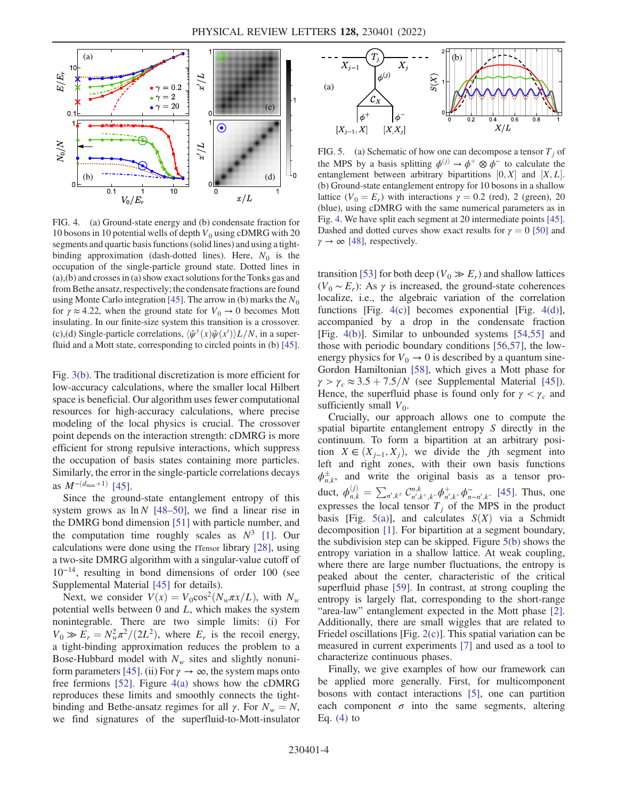<span id="page-3-0"></span>

FIG. 4. (a) Ground-state energy and (b) condensate fraction for 10 bosons in 10 potential wells of depth  $V_0$  using cDMRG with 20 segments and quartic basis functions (solid lines) and using a tightbinding approximation (dash-dotted lines). Here,  $N_0$  is the occupation of the single-particle ground state. Dotted lines in (a),(b) and crosses in (a) show exact solutions for the Tonks gas and from Bethe ansatz, respectively; the condensate fractions are found using Monte Carlo integration [\[45\]](#page-5-25). The arrow in (b) marks the  $N_0$ for  $\gamma \approx 4.22$ , when the ground state for  $V_0 \rightarrow 0$  becomes Mott insulating. In our finite-size system this transition is a crossover. (c),(d) Single-particle correlations,  $\langle \hat{\psi}^{\dagger}(x) \hat{\psi}(x') \rangle L/N$ , in a super-<br>fluid and a Mott state, corresponding to circled points in (b) [45] fluid and a Mott state, corresponding to circled points in (b) [\[45\]](#page-5-25).

Fig. [3\(b\)](#page-2-1). The traditional discretization is more efficient for low-accuracy calculations, where the smaller local Hilbert space is beneficial. Our algorithm uses fewer computational resources for high-accuracy calculations, where precise modeling of the local physics is crucial. The crossover point depends on the interaction strength: cDMRG is more efficient for strong repulsive interactions, which suppress the occupation of basis states containing more particles. Similarly, the error in the single-particle correlations decays as  $M^{-(d_{\text{max}}+1)}$  [[45](#page-5-25)].

Since the ground-state entanglement entropy of this system grows as  $\ln N$  [[48](#page-5-28)–[50\]](#page-5-29), we find a linear rise in the DMRG bond dimension [\[51\]](#page-5-30) with particle number, and the computation time roughly scales as  $N^3$  [[1](#page-4-0)]. Our calculations were done using the ITensor library [[28](#page-5-9)], using a two-site DMRG algorithm with a singular-value cutoff of 10<sup>−</sup><sup>14</sup>, resulting in bond dimensions of order 100 (see Supplemental Material [[45](#page-5-25)] for details).

Next, we consider  $V(x) = V_0 \cos^2(N_w \pi x/L)$ , with  $N_w$ potential wells between  $0$  and  $L$ , which makes the system nonintegrable. There are two simple limits: (i) For  $V_0 \gg E_r = N_w^2 \pi^2/(2L^2)$ , where  $E_r$  is the recoil energy, a tight-binding approximation reduces the problem to a Bose-Hubbard model with  $N_w$  sites and slightly nonuni-form parameters [\[45](#page-5-25)]. (ii) For  $\gamma \to \infty$ , the system maps onto free fermions [\[52\]](#page-5-31). Figure  $4(a)$  shows how the cDMRG reproduces these limits and smoothly connects the tightbinding and Bethe-ansatz regimes for all  $\gamma$ . For  $N_w = N$ , we find signatures of the superfluid-to-Mott-insulator

<span id="page-3-1"></span>

FIG. 5. (a) Schematic of how one can decompose a tensor  $T_i$  of the MPS by a basis splitting  $\phi^{(j)} \rightarrow \phi^+ \otimes \phi^-$  to calculate the entanglement between arbitrary bipartitions  $[0, X]$  and  $[X, L]$ .<br>(b) Ground-state entanglement entropy for 10 bosons in a shallow (b) Ground-state entanglement entropy for 10 bosons in a shallow lattice ( $V_0 = E_r$ ) with interactions  $\gamma = 0.2$  (red), 2 (green), 20 (blue), using cDMRG with the same numerical parameters as in Fig. [4.](#page-3-0) We have split each segment at 20 intermediate points [\[45\]](#page-5-25). Dashed and dotted curves show exact results for  $\gamma = 0$  [[50](#page-5-29)] and  $\gamma \rightarrow \infty$  [\[48\]](#page-5-28), respectively.

transition [[53](#page-6-0)] for both deep ( $V_0 \gg E_r$ ) and shallow lattices  $(V_0 \sim E_r)$ : As  $\gamma$  is increased, the ground-state coherences localize, i.e., the algebraic variation of the correlation functions [Fig. [4\(c\)](#page-3-0)] becomes exponential [Fig. [4\(d\)](#page-3-0)], accompanied by a drop in the condensate fraction [Fig. [4\(b\)\]](#page-3-0). Similar to unbounded systems [\[54,](#page-6-1)[55](#page-6-2)] and those with periodic boundary conditions [\[56](#page-6-3)[,57\]](#page-6-4), the lowenergy physics for  $V_0 \rightarrow 0$  is described by a quantum sine-Gordon Hamiltonian [[58](#page-6-5)], which gives a Mott phase for  $\gamma > \gamma_c \approx 3.5 + 7.5/N$  (see Supplemental Material [\[45\]](#page-5-25)). Hence, the superfluid phase is found only for  $\gamma < \gamma_c$  and sufficiently small  $V_0$ .

Crucially, our approach allows one to compute the spatial bipartite entanglement entropy S directly in the continuum. To form a bipartition at an arbitrary position  $X \in (X_{j-1}, X_j)$ , we divide the jth segment into left and right zones, with their own basis functions  $\phi_{n,k}^{\pm}$ , and write the original basis as a tensor product,  $\phi_{n,k}^{(j)} = \sum_{n',k^{\pm}} C_{n',k^+,k^-}^{n,k} \phi_{n',k^+}^+ \phi_{n-n',k^-}^-$  [\[45\]](#page-5-25). Thus, one expresses the local tensor  $T_j$  of the MPS in the product basis [Fig. [5\(a\)\]](#page-3-1), and calculates  $S(X)$  via a Schmidt decomposition [\[1](#page-4-0)]. For bipartition at a segment boundary, the subdivision step can be skipped. Figure [5\(b\)](#page-3-1) shows the entropy variation in a shallow lattice. At weak coupling, where there are large number fluctuations, the entropy is peaked about the center, characteristic of the critical superfluid phase [\[59\]](#page-6-6). In contrast, at strong coupling the entropy is largely flat, corresponding to the short-range "area-law" entanglement expected in the Mott phase [[2](#page-4-1)]. Additionally, there are small wiggles that are related to Friedel oscillations [Fig. [2\(c\)](#page-2-0)]. This spatial variation can be measured in current experiments [\[7\]](#page-4-12) and used as a tool to characterize continuous phases.

Finally, we give examples of how our framework can be applied more generally. First, for multicomponent bosons with contact interactions [\[5](#page-4-4)], one can partition each component  $\sigma$  into the same segments, altering Eq.  $(4)$  to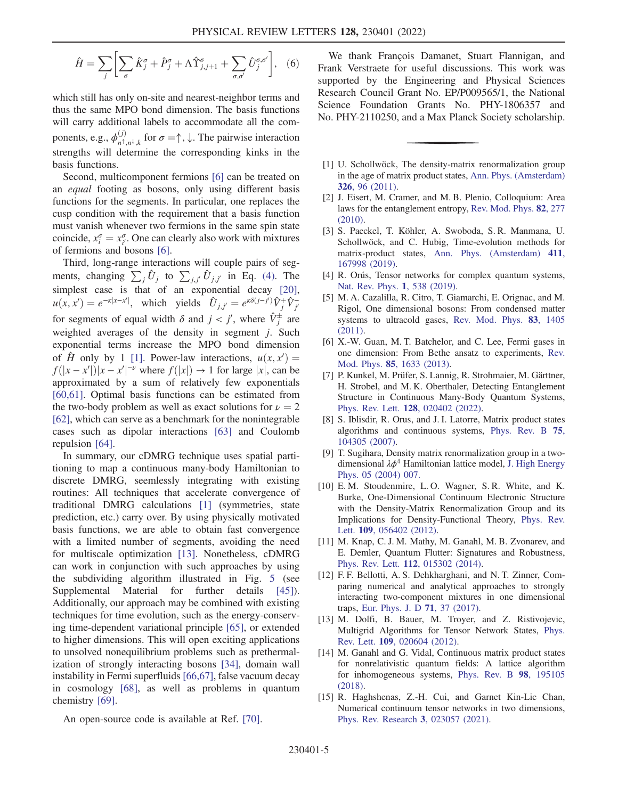$$
\hat{H} = \sum_{j} \left[ \sum_{\sigma} \hat{K}^{\sigma}_{j} + \hat{P}^{\sigma}_{j} + \Lambda \hat{T}^{\sigma}_{j,j+1} + \sum_{\sigma,\sigma'} \hat{U}^{\sigma,\sigma'}_{j} \right], \quad (6)
$$

which still has only on-site and nearest-neighbor terms and thus the same MPO bond dimension. The basis functions will carry additional labels to accommodate all the components, e.g.,  $\phi_{n^{\dagger},n^{\dagger},k}^{(j)}$  for  $\sigma = \uparrow, \downarrow$ . The pairwise interaction strengths will determine the corresponding kinks in the basis functions.

Second, multicomponent fermions [\[6\]](#page-4-13) can be treated on an equal footing as bosons, only using different basis functions for the segments. In particular, one replaces the cusp condition with the requirement that a basis function must vanish whenever two fermions in the same spin state coincide,  $x_i^{\sigma} = x_i^{\sigma}$ . One can clearly also work with mixtures of fermions and bosons [6] of fermions and bosons [\[6\]](#page-4-13).

Third, long-range interactions will couple pairs of segments, changing  $\sum_i \hat{U}_j$  to  $\sum_{i,j'} \hat{U}_{j,j'}$  in Eq. [\(4\)](#page-1-2). The simplest case is that of an exponential decay  $[20]$  $[20]$  $[20]$ ,  $u(x, x') = e^{-\kappa |x - x'|}$ , which yields  $\hat{U}_{j, j'} = e^{\kappa \delta(j-j')} \hat{V}_{j}^{+} \hat{V}_{j'}^{-}$ for segments of equal width  $\delta$  and  $j < j'$ , where  $\hat{V}^{\pm}$  are weighted averages of the density in segment  $j$ . Such exponential terms increase the MPO bond dimension of  $\hat{H}$  only by [1](#page-4-0) [1]. Power-law interactions,  $u(x, x') =$  $f(|x-x'|)|x-x'|^{-\nu}$  where  $f(|x|) \rightarrow 1$  for large  $|x|$ , can be<br>approximated by a sum of relatively few exponentials approximated by a sum of relatively few exponentials [\[60](#page-6-7)[,61\]](#page-6-8). Optimal basis functions can be estimated from the two-body problem as well as exact solutions for  $\nu = 2$ [\[62\]](#page-6-9), which can serve as a benchmark for the nonintegrable cases such as dipolar interactions [[63](#page-6-10)] and Coulomb repulsion [[64](#page-6-11)].

In summary, our cDMRG technique uses spatial partitioning to map a continuous many-body Hamiltonian to discrete DMRG, seemlessly integrating with existing routines: All techniques that accelerate convergence of traditional DMRG calculations [[1](#page-4-0)] (symmetries, state prediction, etc.) carry over. By using physically motivated basis functions, we are able to obtain fast convergence with a limited number of segments, avoiding the need for multiscale optimization [[13](#page-4-9)]. Nonetheless, cDMRG can work in conjunction with such approaches by using the subdividing algorithm illustrated in Fig. [5](#page-3-1) (see Supplemental Material for further details [\[45\]](#page-5-25)). Additionally, our approach may be combined with existing techniques for time evolution, such as the energy-conserving time-dependent variational principle [[65](#page-6-12)], or extended to higher dimensions. This will open exciting applications to unsolved nonequilibrium problems such as prethermalization of strongly interacting bosons [\[34\]](#page-5-15), domain wall instability in Fermi superfluids [[66](#page-6-13),[67](#page-6-14)], false vacuum decay in cosmology [[68](#page-6-15)], as well as problems in quantum chemistry [[69](#page-6-16)].

An open-source code is available at Ref. [[70](#page-6-17)].

We thank François Damanet, Stuart Flannigan, and Frank Verstraete for useful discussions. This work was supported by the Engineering and Physical Sciences Research Council Grant No. EP/P009565/1, the National Science Foundation Grants No. PHY-1806357 and No. PHY-2110250, and a Max Planck Society scholarship.

- <span id="page-4-0"></span>[1] U. Schollwöck, The density-matrix renormalization group in the age of matrix product states, [Ann. Phys. \(Amsterdam\)](https://doi.org/10.1016/j.aop.2010.09.012) 326[, 96 \(2011\).](https://doi.org/10.1016/j.aop.2010.09.012)
- <span id="page-4-1"></span>[2] J. Eisert, M. Cramer, and M. B. Plenio, Colloquium: Area laws for the entanglement entropy, [Rev. Mod. Phys.](https://doi.org/10.1103/RevModPhys.82.277) 82, 277 [\(2010\).](https://doi.org/10.1103/RevModPhys.82.277)
- <span id="page-4-2"></span>[3] S. Paeckel, T. Köhler, A. Swoboda, S. R. Manmana, U. Schollwöck, and C. Hubig, Time-evolution methods for matrix-product states, [Ann. Phys. \(Amsterdam\)](https://doi.org/10.1016/j.aop.2019.167998) 411, [167998 \(2019\).](https://doi.org/10.1016/j.aop.2019.167998)
- <span id="page-4-4"></span><span id="page-4-3"></span>[4] R. Orús, Tensor networks for complex quantum systems, [Nat. Rev. Phys.](https://doi.org/10.1038/s42254-019-0086-7) 1, 538 (2019).
- [5] M. A. Cazalilla, R. Citro, T. Giamarchi, E. Orignac, and M. Rigol, One dimensional bosons: From condensed matter systems to ultracold gases, [Rev. Mod. Phys.](https://doi.org/10.1103/RevModPhys.83.1405) 83, 1405 [\(2011\).](https://doi.org/10.1103/RevModPhys.83.1405)
- <span id="page-4-13"></span>[6] X.-W. Guan, M. T. Batchelor, and C. Lee, Fermi gases in one dimension: From Bethe ansatz to experiments, [Rev.](https://doi.org/10.1103/RevModPhys.85.1633) Mod. Phys. 85[, 1633 \(2013\)](https://doi.org/10.1103/RevModPhys.85.1633).
- <span id="page-4-12"></span>[7] P. Kunkel, M. Prüfer, S. Lannig, R. Strohmaier, M. Gärttner, H. Strobel, and M. K. Oberthaler, Detecting Entanglement Structure in Continuous Many-Body Quantum Systems, Phys. Rev. Lett. 128[, 020402 \(2022\).](https://doi.org/10.1103/PhysRevLett.128.020402)
- <span id="page-4-5"></span>[8] S. Iblisdir, R. Orus, and J. I. Latorre, Matrix product states algorithms and continuous systems, [Phys. Rev. B](https://doi.org/10.1103/PhysRevB.75.104305) 75, [104305 \(2007\).](https://doi.org/10.1103/PhysRevB.75.104305)
- <span id="page-4-6"></span>[9] T. Sugihara, Density matrix renormalization group in a twodimensional  $\lambda \phi^4$  Hamiltonian lattice model, [J. High Energy](https://doi.org/10.1088/1126-6708/2004/05/007) [Phys. 05 \(2004\) 007.](https://doi.org/10.1088/1126-6708/2004/05/007)
- [10] E.M. Stoudenmire, L.O. Wagner, S.R. White, and K. Burke, One-Dimensional Continuum Electronic Structure with the Density-Matrix Renormalization Group and its Implications for Density-Functional Theory, [Phys. Rev.](https://doi.org/10.1103/PhysRevLett.109.056402) Lett. 109[, 056402 \(2012\)](https://doi.org/10.1103/PhysRevLett.109.056402).
- <span id="page-4-7"></span>[11] M. Knap, C. J. M. Mathy, M. Ganahl, M. B. Zvonarev, and E. Demler, Quantum Flutter: Signatures and Robustness, Phys. Rev. Lett. 112[, 015302 \(2014\).](https://doi.org/10.1103/PhysRevLett.112.015302)
- <span id="page-4-8"></span>[12] F. F. Bellotti, A. S. Dehkharghani, and N. T. Zinner, Comparing numerical and analytical approaches to strongly interacting two-component mixtures in one dimensional traps, [Eur. Phys. J. D](https://doi.org/10.1140/epjd/e2017-70650-8) 71, 37 (2017).
- <span id="page-4-9"></span>[13] M. Dolfi, B. Bauer, M. Troyer, and Z. Ristivojevic, Multigrid Algorithms for Tensor Network States, [Phys.](https://doi.org/10.1103/PhysRevLett.109.020604) Rev. Lett. 109[, 020604 \(2012\).](https://doi.org/10.1103/PhysRevLett.109.020604)
- <span id="page-4-11"></span>[14] M. Ganahl and G. Vidal, Continuous matrix product states for nonrelativistic quantum fields: A lattice algorithm for inhomogeneous systems, [Phys. Rev. B](https://doi.org/10.1103/PhysRevB.98.195105) 98, 195105 [\(2018\).](https://doi.org/10.1103/PhysRevB.98.195105)
- <span id="page-4-10"></span>[15] R. Haghshenas, Z.-H. Cui, and Garnet Kin-Lic Chan, Numerical continuum tensor networks in two dimensions, [Phys. Rev. Research](https://doi.org/10.1103/PhysRevResearch.3.023057) 3, 023057 (2021).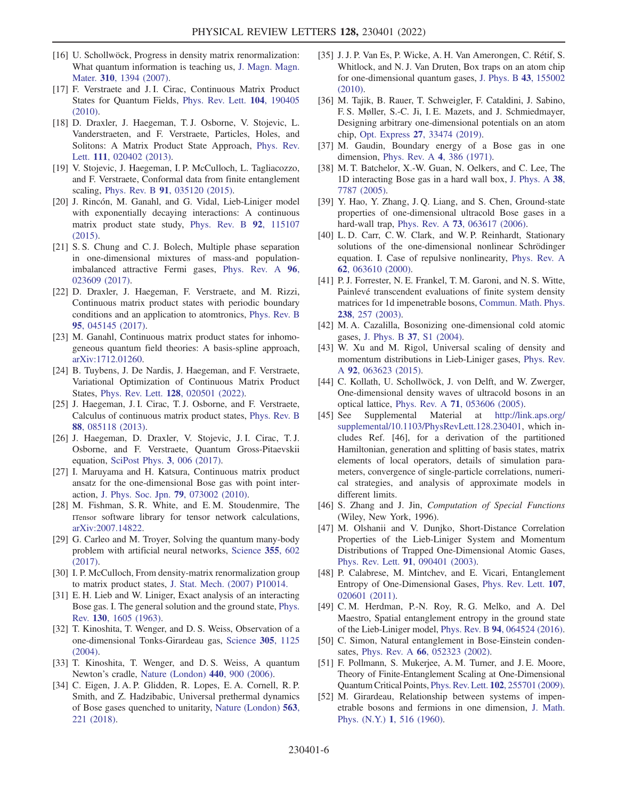- <span id="page-5-0"></span>[16] U. Schollwöck, Progress in density matrix renormalization: What quantum information is teaching us, [J. Magn. Magn.](https://doi.org/10.1016/j.jmmm.2006.10.415) Mater. 310[, 1394 \(2007\).](https://doi.org/10.1016/j.jmmm.2006.10.415)
- <span id="page-5-1"></span>[17] F. Verstraete and J. I. Cirac, Continuous Matrix Product States for Quantum Fields, [Phys. Rev. Lett.](https://doi.org/10.1103/PhysRevLett.104.190405) 104, 190405 [\(2010\).](https://doi.org/10.1103/PhysRevLett.104.190405)
- <span id="page-5-2"></span>[18] D. Draxler, J. Haegeman, T. J. Osborne, V. Stojevic, L. Vanderstraeten, and F. Verstraete, Particles, Holes, and Solitons: A Matrix Product State Approach, [Phys. Rev.](https://doi.org/10.1103/PhysRevLett.111.020402) Lett. 111[, 020402 \(2013\)](https://doi.org/10.1103/PhysRevLett.111.020402).
- [19] V. Stojevic, J. Haegeman, I. P. McCulloch, L. Tagliacozzo, and F. Verstraete, Conformal data from finite entanglement scaling, Phys. Rev. B 91[, 035120 \(2015\)](https://doi.org/10.1103/PhysRevB.91.035120).
- <span id="page-5-32"></span>[20] J. Rincón, M. Ganahl, and G. Vidal, Lieb-Liniger model with exponentially decaying interactions: A continuous matrix product state study, [Phys. Rev. B](https://doi.org/10.1103/PhysRevB.92.115107) 92, 115107 [\(2015\).](https://doi.org/10.1103/PhysRevB.92.115107)
- [21] S. S. Chung and C. J. Bolech, Multiple phase separation in one-dimensional mixtures of mass-and populationimbalanced attractive Fermi gases, [Phys. Rev. A](https://doi.org/10.1103/PhysRevA.96.023609) 96, [023609 \(2017\).](https://doi.org/10.1103/PhysRevA.96.023609)
- <span id="page-5-3"></span>[22] D. Draxler, J. Haegeman, F. Verstraete, and M. Rizzi, Continuous matrix product states with periodic boundary conditions and an application to atomtronics, [Phys. Rev. B](https://doi.org/10.1103/PhysRevB.95.045145) 95[, 045145 \(2017\).](https://doi.org/10.1103/PhysRevB.95.045145)
- <span id="page-5-4"></span>[23] M. Ganahl, Continuous matrix product states for inhomogeneous quantum field theories: A basis-spline approach, [arXiv:1712.01260.](https://arXiv.org/abs/1712.01260)
- <span id="page-5-5"></span>[24] B. Tuybens, J. De Nardis, J. Haegeman, and F. Verstraete, Variational Optimization of Continuous Matrix Product States, Phys. Rev. Lett. 128[, 020501 \(2022\).](https://doi.org/10.1103/PhysRevLett.128.020501)
- <span id="page-5-6"></span>[25] J. Haegeman, J. I. Cirac, T. J. Osborne, and F. Verstraete, Calculus of continuous matrix product states, [Phys. Rev. B](https://doi.org/10.1103/PhysRevB.88.085118) 88[, 085118 \(2013\).](https://doi.org/10.1103/PhysRevB.88.085118)
- <span id="page-5-7"></span>[26] J. Haegeman, D. Draxler, V. Stojevic, J. I. Cirac, T. J. Osborne, and F. Verstraete, Quantum Gross-Pitaevskii equation, [SciPost Phys.](https://doi.org/10.21468/SciPostPhys.3.1.006) 3, 006 (2017).
- <span id="page-5-8"></span>[27] I. Maruyama and H. Katsura, Continuous matrix product ansatz for the one-dimensional Bose gas with point interaction, [J. Phys. Soc. Jpn.](https://doi.org/10.1143/JPSJ.79.073002) 79, 073002 (2010).
- <span id="page-5-9"></span>[28] M. Fishman, S. R. White, and E. M. Stoudenmire, The ITensor software library for tensor network calculations, [arXiv:2007.14822.](https://arXiv.org/abs/2007.14822)
- <span id="page-5-10"></span>[29] G. Carleo and M. Troyer, Solving the quantum many-body problem with artificial neural networks, [Science](https://doi.org/10.1126/science.aag2302) 355, 602 [\(2017\).](https://doi.org/10.1126/science.aag2302)
- <span id="page-5-12"></span><span id="page-5-11"></span>[30] I. P. McCulloch, From density-matrix renormalization group to matrix product states, [J. Stat. Mech. \(2007\) P10014.](https://doi.org/10.1088/1742-5468/2007/10/P10014)
- [31] E. H. Lieb and W. Liniger, Exact analysis of an interacting Bose gas. I. The general solution and the ground state, [Phys.](https://doi.org/10.1103/PhysRev.130.1605) Rev. 130[, 1605 \(1963\)](https://doi.org/10.1103/PhysRev.130.1605).
- <span id="page-5-13"></span>[32] T. Kinoshita, T. Wenger, and D. S. Weiss, Observation of a one-dimensional Tonks-Girardeau gas, [Science](https://doi.org/10.1126/science.1100700) 305, 1125 [\(2004\).](https://doi.org/10.1126/science.1100700)
- <span id="page-5-15"></span><span id="page-5-14"></span>[33] T. Kinoshita, T. Wenger, and D. S. Weiss, A quantum Newton's cradle, [Nature \(London\)](https://doi.org/10.1038/nature04693) 440, 900 (2006).
- [34] C. Eigen, J. A. P. Glidden, R. Lopes, E. A. Cornell, R. P. Smith, and Z. Hadzibabic, Universal prethermal dynamics of Bose gases quenched to unitarity, [Nature \(London\)](https://doi.org/10.1038/s41586-018-0674-1) 563, [221 \(2018\)](https://doi.org/10.1038/s41586-018-0674-1).
- <span id="page-5-16"></span>[35] J. J. P. Van Es, P. Wicke, A. H. Van Amerongen, C. Rétif, S. Whitlock, and N. J. Van Druten, Box traps on an atom chip for one-dimensional quantum gases, [J. Phys. B](https://doi.org/10.1088/0953-4075/43/15/155002) 43, 155002 [\(2010\).](https://doi.org/10.1088/0953-4075/43/15/155002)
- <span id="page-5-17"></span>[36] M. Tajik, B. Rauer, T. Schweigler, F. Cataldini, J. Sabino, F. S. Møller, S.-C. Ji, I. E. Mazets, and J. Schmiedmayer, Designing arbitrary one-dimensional potentials on an atom chip, Opt. Express 27[, 33474 \(2019\)](https://doi.org/10.1364/OE.27.033474).
- <span id="page-5-18"></span>[37] M. Gaudin, Boundary energy of a Bose gas in one dimension, [Phys. Rev. A](https://doi.org/10.1103/PhysRevA.4.386) 4, 386 (1971).
- <span id="page-5-26"></span>[38] M. T. Batchelor, X.-W. Guan, N. Oelkers, and C. Lee, The 1D interacting Bose gas in a hard wall box, [J. Phys. A](https://doi.org/10.1088/0305-4470/38/36/001) 38, [7787 \(2005\)](https://doi.org/10.1088/0305-4470/38/36/001).
- <span id="page-5-19"></span>[39] Y. Hao, Y. Zhang, J. Q. Liang, and S. Chen, Ground-state properties of one-dimensional ultracold Bose gases in a hard-wall trap, Phys. Rev. A 73[, 063617 \(2006\)](https://doi.org/10.1103/PhysRevA.73.063617).
- <span id="page-5-20"></span>[40] L. D. Carr, C. W. Clark, and W. P. Reinhardt, Stationary solutions of the one-dimensional nonlinear Schrödinger equation. I. Case of repulsive nonlinearity, [Phys. Rev. A](https://doi.org/10.1103/PhysRevA.62.063610) 62[, 063610 \(2000\).](https://doi.org/10.1103/PhysRevA.62.063610)
- <span id="page-5-21"></span>[41] P. J. Forrester, N. E. Frankel, T. M. Garoni, and N. S. Witte, Painlevé transcendent evaluations of finite system density matrices for 1d impenetrable bosons, [Commun. Math. Phys.](https://doi.org/10.1007/s00220-003-0851-3) 238[, 257 \(2003\)](https://doi.org/10.1007/s00220-003-0851-3).
- <span id="page-5-22"></span>[42] M. A. Cazalilla, Bosonizing one-dimensional cold atomic gases, J. Phys. B 37[, S1 \(2004\).](https://doi.org/10.1088/0953-4075/37/7/051)
- <span id="page-5-23"></span>[43] W. Xu and M. Rigol, Universal scaling of density and momentum distributions in Lieb-Liniger gases, [Phys. Rev.](https://doi.org/10.1103/PhysRevA.92.063623) A 92[, 063623 \(2015\)](https://doi.org/10.1103/PhysRevA.92.063623).
- <span id="page-5-24"></span>[44] C. Kollath, U. Schollwöck, J. von Delft, and W. Zwerger, One-dimensional density waves of ultracold bosons in an optical lattice, Phys. Rev. A 71[, 053606 \(2005\).](https://doi.org/10.1103/PhysRevA.71.053606)
- <span id="page-5-25"></span>[45] See Supplemental Material at [http://link.aps.org/](http://link.aps.org/supplemental/10.1103/PhysRevLett.128.230401) [supplemental/10.1103/PhysRevLett.128.230401](http://link.aps.org/supplemental/10.1103/PhysRevLett.128.230401), which includes Ref. [46], for a derivation of the partitioned Hamiltonian, generation and splitting of basis states, matrix elements of local operators, details of simulation parameters, convergence of single-particle correlations, numerical strategies, and analysis of approximate models in different limits.
- [46] S. Zhang and J. Jin, Computation of Special Functions (Wiley, New York, 1996).
- <span id="page-5-27"></span>[47] M. Olshanii and V. Dunjko, Short-Distance Correlation Properties of the Lieb-Liniger System and Momentum Distributions of Trapped One-Dimensional Atomic Gases, Phys. Rev. Lett. 91[, 090401 \(2003\)](https://doi.org/10.1103/PhysRevLett.91.090401).
- <span id="page-5-28"></span>[48] P. Calabrese, M. Mintchev, and E. Vicari, Entanglement Entropy of One-Dimensional Gases, [Phys. Rev. Lett.](https://doi.org/10.1103/PhysRevLett.107.020601) 107, [020601 \(2011\).](https://doi.org/10.1103/PhysRevLett.107.020601)
- [49] C.M. Herdman, P.-N. Roy, R.G. Melko, and A. Del Maestro, Spatial entanglement entropy in the ground state of the Lieb-Liniger model, Phys. Rev. B 94[, 064524 \(2016\).](https://doi.org/10.1103/PhysRevB.94.064524)
- <span id="page-5-30"></span><span id="page-5-29"></span>[50] C. Simon, Natural entanglement in Bose-Einstein condensates, Phys. Rev. A 66[, 052323 \(2002\)](https://doi.org/10.1103/PhysRevA.66.052323).
- [51] F. Pollmann, S. Mukerjee, A. M. Turner, and J. E. Moore, Theory of Finite-Entanglement Scaling at One-Dimensional Quantum Critical Points, Phys. Rev. Lett. 102[, 255701 \(2009\).](https://doi.org/10.1103/PhysRevLett.102.255701)
- <span id="page-5-31"></span>[52] M. Girardeau, Relationship between systems of impenetrable bosons and fermions in one dimension, [J. Math.](https://doi.org/10.1063/1.1703687) Phys. (N.Y.) 1[, 516 \(1960\).](https://doi.org/10.1063/1.1703687)